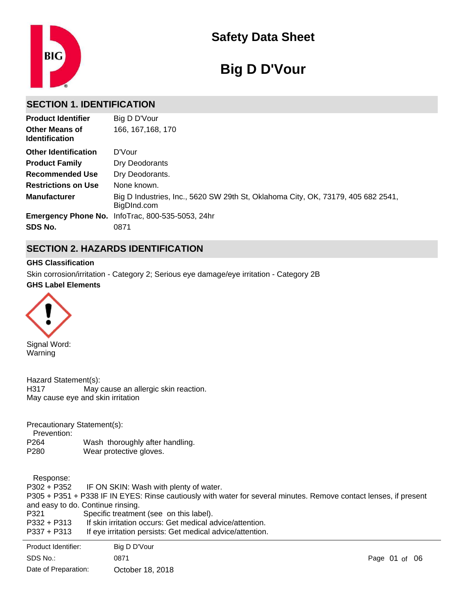

# **Safety Data Sheet**

# **Big D D'Vour**

# **SECTION 1. IDENTIFICATION**

| <b>Product Identifier</b>                      | Big D D'Vour                                                                                    |
|------------------------------------------------|-------------------------------------------------------------------------------------------------|
| <b>Other Means of</b><br><b>Identification</b> | 166, 167, 168, 170                                                                              |
| <b>Other Identification</b>                    | D'Vour                                                                                          |
| <b>Product Family</b>                          | Dry Deodorants                                                                                  |
| <b>Recommended Use</b>                         | Dry Deodorants.                                                                                 |
| <b>Restrictions on Use</b>                     | None known.                                                                                     |
| <b>Manufacturer</b>                            | Big D Industries, Inc., 5620 SW 29th St, Oklahoma City, OK, 73179, 405 682 2541,<br>BigDInd.com |
|                                                | <b>Emergency Phone No.</b> InfoTrac, 800-535-5053, 24hr                                         |
| SDS No.                                        | 0871                                                                                            |

# **SECTION 2. HAZARDS IDENTIFICATION**

#### **GHS Classification**

**GHS Label Elements** Skin corrosion/irritation - Category 2; Serious eye damage/eye irritation - Category 2B



Signal Word: Warning

Hazard Statement(s): H317 May cause an allergic skin reaction. May cause eye and skin irritation

Precautionary Statement(s):

Prevention:

P264 Wash thoroughly after handling. P280 Wear protective gloves.

 Response: P302 + P352 IF ON SKIN: Wash with plenty of water. P305 + P351 + P338 IF IN EYES: Rinse cautiously with water for several minutes. Remove contact lenses, if present and easy to do. Continue rinsing.<br>P321 Specific treatmer Specific treatment (see on this label). P332 + P313 If skin irritation occurs: Get medical advice/attention. P337 + P313 If eye irritation persists: Get medical advice/attention. P362 + P364 Take off contaminated clothing and wash it before reuse.

| Product Identifier:  | Big D D'Vour     |               |  |  |
|----------------------|------------------|---------------|--|--|
| SDS No.:             | 0871             | Page 01 of 06 |  |  |
| Date of Preparation: | October 18, 2018 |               |  |  |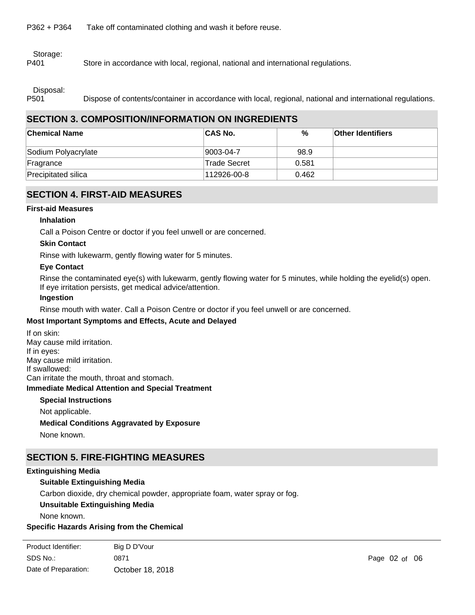P362 + P364 Take off contaminated clothing and wash it before reuse.

Storage:

P401 Store in accordance with local, regional, national and international regulations.

Disposal:

P501 Dispose of contents/container in accordance with local, regional, national and international regulations.

# **SECTION 3. COMPOSITION/INFORMATION ON INGREDIENTS**

| <b>Chemical Name</b> | <b>CAS No.</b> | %     | <b>Other Identifiers</b> |
|----------------------|----------------|-------|--------------------------|
| Sodium Polyacrylate  | 9003-04-7      | 98.9  |                          |
| Fragrance            | 'Trade Secret  | 0.581 |                          |
| Precipitated silica  | 112926-00-8    | 0.462 |                          |

# **SECTION 4. FIRST-AID MEASURES**

#### **First-aid Measures**

#### **Inhalation**

Call a Poison Centre or doctor if you feel unwell or are concerned.

#### **Skin Contact**

Rinse with lukewarm, gently flowing water for 5 minutes.

#### **Eye Contact**

Rinse the contaminated eye(s) with lukewarm, gently flowing water for 5 minutes, while holding the eyelid(s) open. If eye irritation persists, get medical advice/attention.

#### **Ingestion**

Rinse mouth with water. Call a Poison Centre or doctor if you feel unwell or are concerned.

#### **Most Important Symptoms and Effects, Acute and Delayed**

**Immediate Medical Attention and Special Treatment** If on skin: May cause mild irritation. If in eyes: May cause mild irritation. If swallowed: Can irritate the mouth, throat and stomach.

#### **Special Instructions**

Not applicable. **Medical Conditions Aggravated by Exposure** None known.

# **SECTION 5. FIRE-FIGHTING MEASURES**

#### **Extinguishing Media**

#### **Suitable Extinguishing Media**

Carbon dioxide, dry chemical powder, appropriate foam, water spray or fog.

#### **Unsuitable Extinguishing Media**

None known.

#### **Specific Hazards Arising from the Chemical**

| Product Identifier:  | Big D D'Vour     |
|----------------------|------------------|
| SDS No.:             | 0871             |
| Date of Preparation: | October 18, 2018 |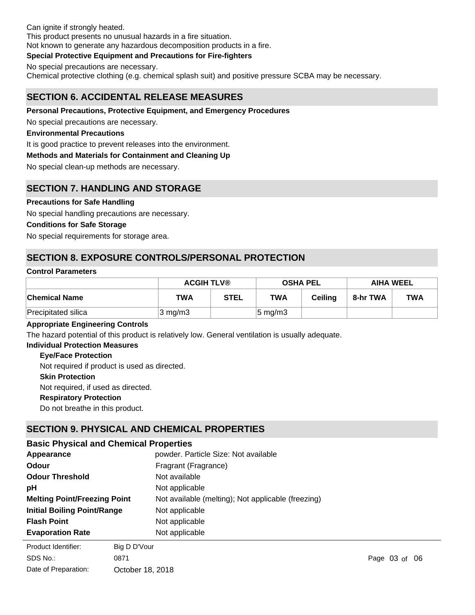Can ignite if strongly heated. This product presents no unusual hazards in a fire situation. Not known to generate any hazardous decomposition products in a fire.

#### **Special Protective Equipment and Precautions for Fire-fighters**

No special precautions are necessary.

Chemical protective clothing (e.g. chemical splash suit) and positive pressure SCBA may be necessary.

# **SECTION 6. ACCIDENTAL RELEASE MEASURES**

#### **Personal Precautions, Protective Equipment, and Emergency Procedures**

No special precautions are necessary.

#### **Environmental Precautions**

It is good practice to prevent releases into the environment.

#### **Methods and Materials for Containment and Cleaning Up**

No special clean-up methods are necessary.

# **SECTION 7. HANDLING AND STORAGE**

#### **Precautions for Safe Handling**

No special handling precautions are necessary.

#### **Conditions for Safe Storage**

No special requirements for storage area.

# **SECTION 8. EXPOSURE CONTROLS/PERSONAL PROTECTION**

#### **Control Parameters**

|                      | <b>ACGIH TLV®</b> |      | <b>OSHA PEL</b>     |         | <b>AIHA WEEL</b> |            |
|----------------------|-------------------|------|---------------------|---------|------------------|------------|
| <b>Chemical Name</b> | <b>TWA</b>        | STEL | TWA                 | Ceilina | 8-hr TWA         | <b>TWA</b> |
| Precipitated silica  | $3 \text{ mg/m}$  |      | $ 5 \text{ mg/m}$ 3 |         |                  |            |

#### **Appropriate Engineering Controls**

The hazard potential of this product is relatively low. General ventilation is usually adequate.

#### **Individual Protection Measures**

#### **Eye/Face Protection**

**Skin Protection Respiratory Protection** Do not breathe in this product. Not required, if used as directed. Not required if product is used as directed.

# **SECTION 9. PHYSICAL AND CHEMICAL PROPERTIES**

# **Basic Physical and Chemical Properties**

| Appearance                                                  | powder. Particle Size: Not available               |  |  |
|-------------------------------------------------------------|----------------------------------------------------|--|--|
| Odour                                                       | Fragrant (Fragrance)                               |  |  |
| <b>Odour Threshold</b>                                      | Not available                                      |  |  |
| рH                                                          | Not applicable                                     |  |  |
| <b>Melting Point/Freezing Point</b>                         | Not available (melting); Not applicable (freezing) |  |  |
| <b>Initial Boiling Point/Range</b>                          | Not applicable                                     |  |  |
| <b>Flash Point</b>                                          | Not applicable                                     |  |  |
| <b>Evaporation Rate</b>                                     | Not applicable                                     |  |  |
| Droduct Idontifior:<br>$\mathsf{Dis} \mathsf{D} \mathsf{D}$ |                                                    |  |  |

SDS No.: Date of Preparation: 0871 **Page 03 of 06** October 18, 2018 Product Identifier: Big D D'Vour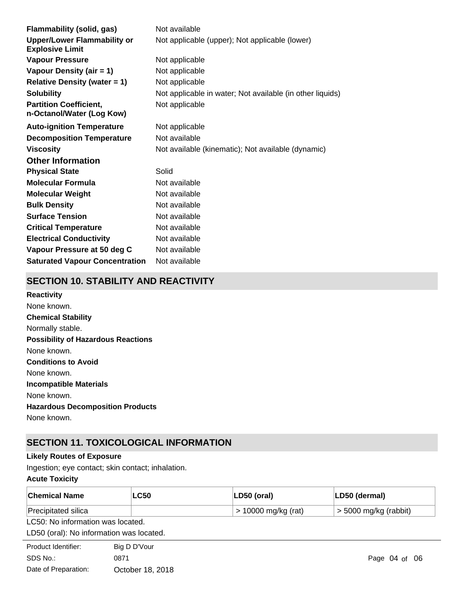| Flammability (solid, gas)                                    | Not available                                             |
|--------------------------------------------------------------|-----------------------------------------------------------|
| <b>Upper/Lower Flammability or</b><br><b>Explosive Limit</b> | Not applicable (upper); Not applicable (lower)            |
| <b>Vapour Pressure</b>                                       | Not applicable                                            |
| Vapour Density (air $= 1$ )                                  | Not applicable                                            |
| <b>Relative Density (water = 1)</b>                          | Not applicable                                            |
| <b>Solubility</b>                                            | Not applicable in water; Not available (in other liquids) |
| <b>Partition Coefficient,</b><br>n-Octanol/Water (Log Kow)   | Not applicable                                            |
| <b>Auto-ignition Temperature</b>                             | Not applicable                                            |
| <b>Decomposition Temperature</b>                             | Not available                                             |
| <b>Viscosity</b>                                             | Not available (kinematic); Not available (dynamic)        |
| <b>Other Information</b>                                     |                                                           |
| <b>Physical State</b>                                        | Solid                                                     |
| <b>Molecular Formula</b>                                     | Not available                                             |
| <b>Molecular Weight</b>                                      | Not available                                             |
| <b>Bulk Density</b>                                          | Not available                                             |
| <b>Surface Tension</b>                                       | Not available                                             |
| <b>Critical Temperature</b>                                  | Not available                                             |
| <b>Electrical Conductivity</b>                               | Not available                                             |
| Vapour Pressure at 50 deg C                                  | Not available                                             |
| <b>Saturated Vapour Concentration</b>                        | Not available                                             |

# **SECTION 10. STABILITY AND REACTIVITY**

**Chemical Stability** Normally stable. **Conditions to Avoid** None known. **Incompatible Materials** None known. **Hazardous Decomposition Products** None known. **Possibility of Hazardous Reactions** None known. **Reactivity** None known.

# **SECTION 11. TOXICOLOGICAL INFORMATION**

#### **Likely Routes of Exposure**

Ingestion; eye contact; skin contact; inhalation.

# **Acute Toxicity**

| <b>Chemical Name</b>                     | <b>LC50</b>      | LD50 (oral)           | LD50 (dermal)           |
|------------------------------------------|------------------|-----------------------|-------------------------|
| Precipitated silica                      |                  | $> 10000$ mg/kg (rat) | $>$ 5000 mg/kg (rabbit) |
| LC50: No information was located.        |                  |                       |                         |
| LD50 (oral): No information was located. |                  |                       |                         |
| Product Identifier:                      | Big D D'Vour     |                       |                         |
| SDS No.:                                 | 0871             |                       | Page $04$ of $06$       |
| Date of Preparation:                     | October 18, 2018 |                       |                         |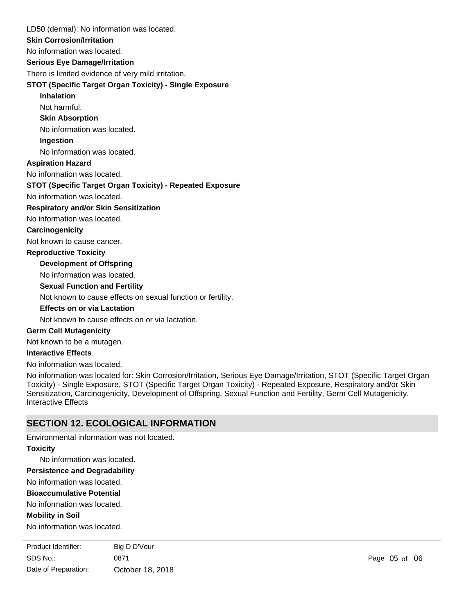LD50 (dermal): No information was located.

#### **Skin Corrosion/Irritation**

No information was located.

**Serious Eye Damage/Irritation**

There is limited evidence of very mild irritation.

#### **STOT (Specific Target Organ Toxicity) - Single Exposure**

#### **Inhalation**

Not harmful.

**Skin Absorption**

No information was located.

#### **Ingestion**

No information was located.

#### **Aspiration Hazard**

No information was located.

#### **STOT (Specific Target Organ Toxicity) - Repeated Exposure**

No information was located.

#### **Respiratory and/or Skin Sensitization**

No information was located.

#### **Carcinogenicity**

Not known to cause cancer.

#### **Reproductive Toxicity**

### **Development of Offspring**

No information was located.

#### **Sexual Function and Fertility**

Not known to cause effects on sexual function or fertility.

#### **Effects on or via Lactation**

Not known to cause effects on or via lactation.

#### **Germ Cell Mutagenicity**

Not known to be a mutagen.

#### **Interactive Effects**

No information was located.

No information was located for: Skin Corrosion/Irritation, Serious Eye Damage/Irritation, STOT (Specific Target Organ Toxicity) - Single Exposure, STOT (Specific Target Organ Toxicity) - Repeated Exposure, Respiratory and/or Skin Sensitization, Carcinogenicity, Development of Offspring, Sexual Function and Fertility, Germ Cell Mutagenicity, Interactive Effects

# **SECTION 12. ECOLOGICAL INFORMATION**

Environmental information was not located.

#### **Toxicity**

No information was located.

**Persistence and Degradability**

No information was located.

#### **Bioaccumulative Potential**

No information was located.

#### **Mobility in Soil**

No information was located.

**Other Adverse Effects** SDS No.: Date of Preparation: 0871 Page 05 of 06 October 18, 2018 Product Identifier: Big D D'Vour